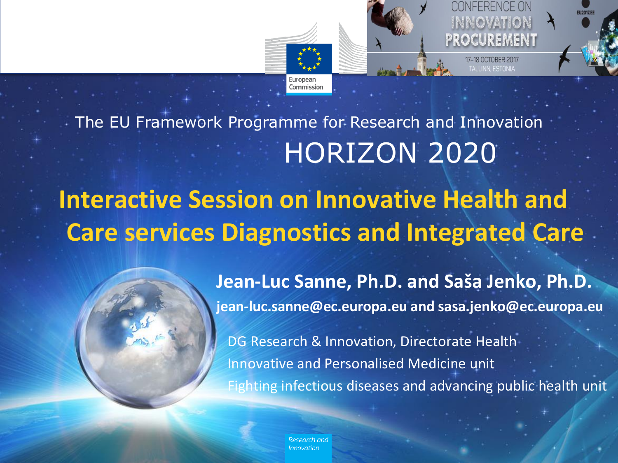

HORIZON 2020 The EU Framework Programme for Research and Innovation

## **Interactive Session on Innovative Health and Care services Diagnostics and Integrated Care**



DG Research & Innovation, Directorate Health Innovative and Personalised Medicine unit Fighting infectious diseases and advancing public health unit

Innovatior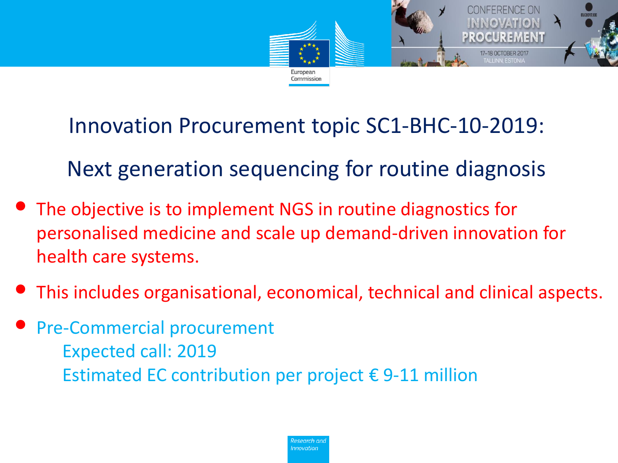

Innovation Procurement topic SC1-BHC-10-2019:

Next generation sequencing for routine diagnosis

- The objective is to implement NGS in routine diagnostics for personalised medicine and scale up demand-driven innovation for health care systems.
- This includes organisational, economical, technical and clinical aspects.
- Pre-Commercial procurement Expected call: 2019 Estimated EC contribution per project  $\epsilon$  9-11 million

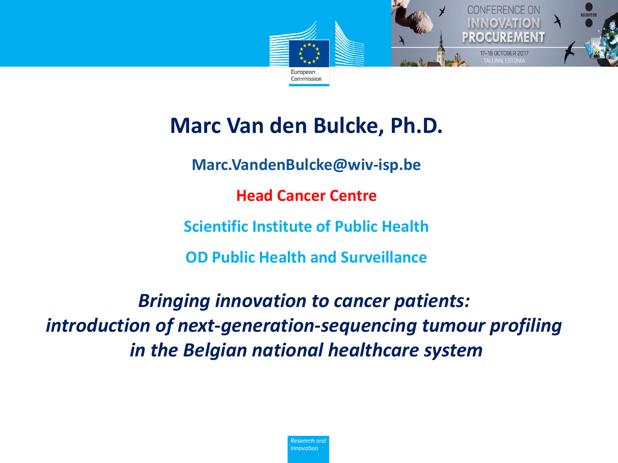

### **Marc Van den Bulcke, Ph.D.**

**Marc.VandenBulcke@wiv-isp.be**

**Head Cancer Centre**

**Scientific Institute of Public Health**

**OD Public Health and Surveillance**

*Bringing innovation to cancer patients: introduction of next-generation-sequencing tumour profiling in the Belgian national healthcare system*

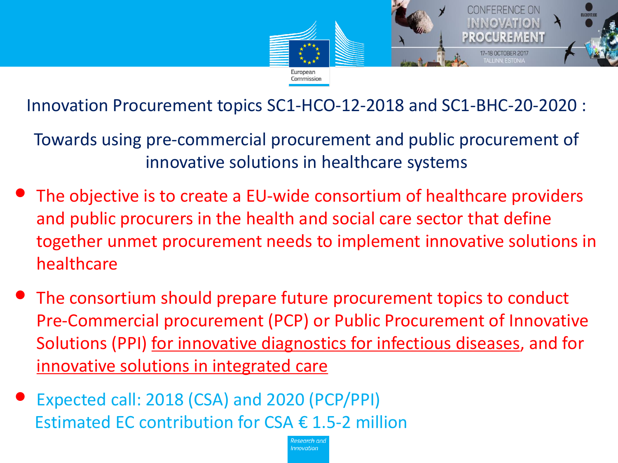

Innovation Procurement topics SC1-HCO-12-2018 and SC1-BHC-20-2020 :

Towards using pre-commercial procurement and public procurement of innovative solutions in healthcare systems

- The objective is to create a EU-wide consortium of healthcare providers and public procurers in the health and social care sector that define together unmet procurement needs to implement innovative solutions in healthcare
- The consortium should prepare future procurement topics to conduct Pre-Commercial procurement (PCP) or Public Procurement of Innovative Solutions (PPI) for innovative diagnostics for infectious diseases, and for innovative solutions in integrated care
- Expected call: 2018 (CSA) and 2020 (PCP/PPI) Estimated EC contribution for CSA  $\epsilon$  1.5-2 million

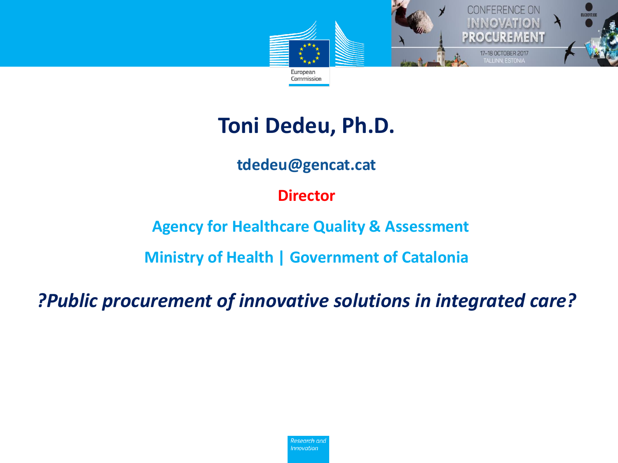

### **Toni Dedeu, Ph.D.**

#### **tdedeu@gencat.cat**

#### **Director**

#### **Agency for Healthcare Quality & Assessment**

**Ministry of Health | Government of Catalonia**

*?Public procurement of innovative solutions in integrated care?*

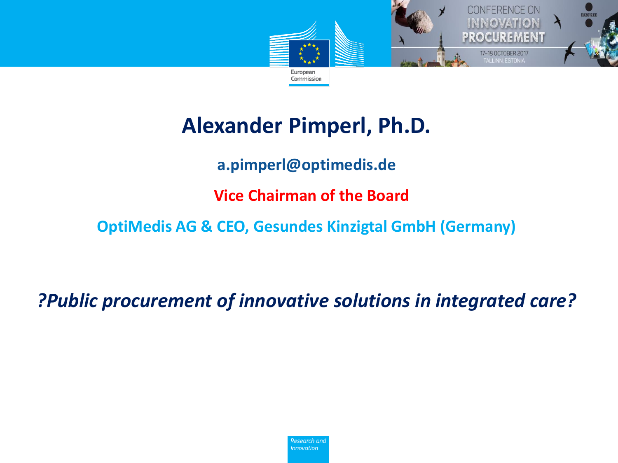

### **Alexander Pimperl, Ph.D.**

**a.pimperl@optimedis.de**

**Vice Chairman of the Board** 

**OptiMedis AG & CEO, Gesundes Kinzigtal GmbH (Germany)**

*?Public procurement of innovative solutions in integrated care?*

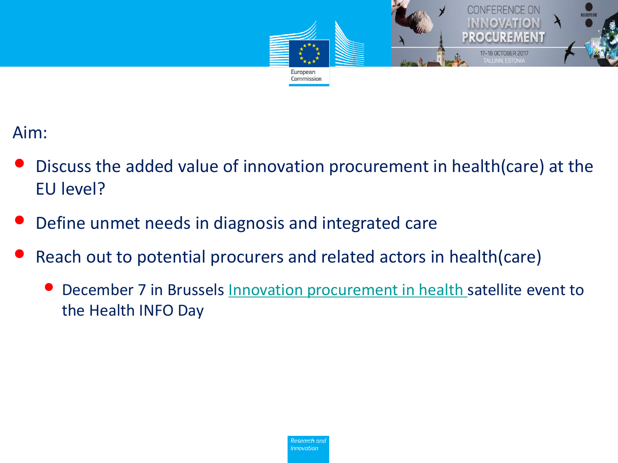

#### Aim:

- Discuss the added value of innovation procurement in health(care) at the EU level?
- Define unmet needs in diagnosis and integrated care
- Reach out to potential procurers and related actors in health(care)
	- December 7 in Brussels [Innovation procurement in health s](http://ec.europa.eu/research/index.cfm?pg=events&lg=en&period=2017&theme=D72D1707-FE0F-3C39-4E55830C194C2E7C&selectmonth=0&future_epage=2)atellite event to the Health INFO Day

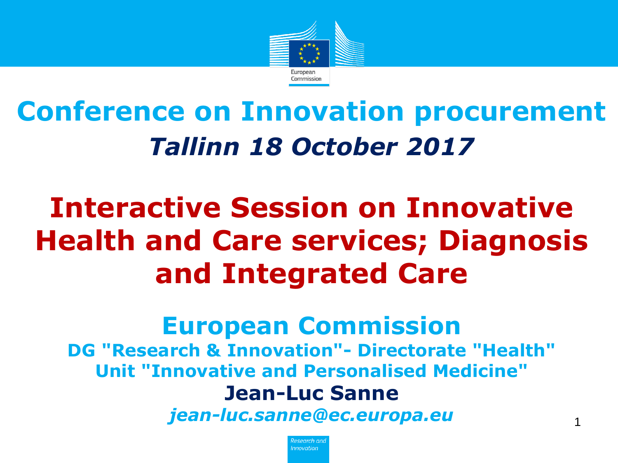

# **Conference on Innovation procurement** *Tallinn 18 October 2017*

# **Interactive Session on Innovative Health and Care services; Diagnosis and Integrated Care**

## **European Commission**

**DG "Research & Innovation"- Directorate "Health" Unit "Innovative and Personalised Medicine" Jean-Luc Sanne**

*jean-luc.sanne@ec.europa.eu* <sup>1</sup>

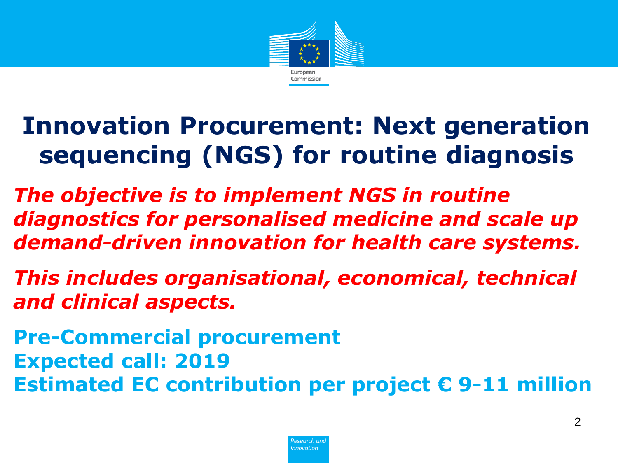

### **Innovation Procurement: Next generation sequencing (NGS) for routine diagnosis**

*The objective is to implement NGS in routine diagnostics for personalised medicine and scale up demand-driven innovation for health care systems.*

*This includes organisational, economical, technical and clinical aspects.* 

**Pre-Commercial procurement Expected call: 2019 Estimated EC contribution per project € 9-11 million**